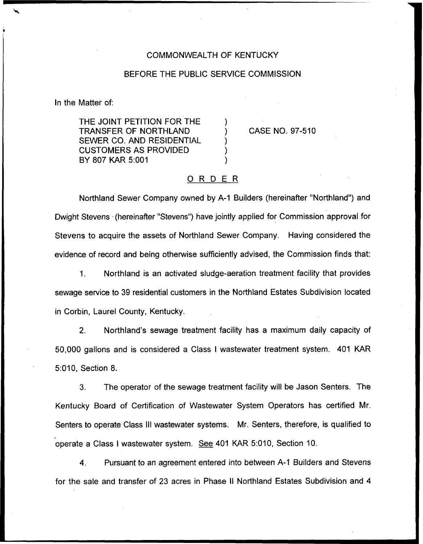## COMMONWEALTH OF KENTUCKY

## BEFORE THE PUBLIC SERVICE COMMISSION

In the Matter of:

THE JOINT PETITION FOR THE TRANSFER OF NORTHLAND SEWER CO. AND RESIDENTIAL CUSTOMERS AS PROVIDED BY 807 KAR 5:001

CASE NO. 97-510

## ORDER

Northland Sewer Company owned by A-1 Builders (hereinafter "Northland") and Dwight Stevens (hereinafter "Stevens") have jointly applied for Commission approval for Stevens to acquire the assets of Northland Sewer Company. Having considered the evidence of record and being otherwise sufficiently advised, the Commission finds that:

 $1<sub>1</sub>$ Northland is an activated sludge-aeration treatment facility that provides sewage service to 39 residential customers in the Northland Estates Subdivision located in Corbin, Laurel County, Kentucky.

2. Northland's sewage treatment facility has a maximum daily capacity of 50,000 gallons and is considered a Class <sup>I</sup> wastewater treatment system. 401 KAR 5:010, Section 8.

3. The operator of the sewage treatment facility will be Jason Senters. The Kentucky Board of Certification of Wastewater System Operators has certified Mr. Senters to operate Class III wastewater systems. Mr. Senters, therefore, is qualified to operate a Class <sup>I</sup> wastewater system. See 401 KAR 5:010, Section 10.

4. Pursuant to an agreement entered into between A-1 Builders and Stevens for the sale and transfer of 23 acres in Phase II Northland Estates Subdivision and 4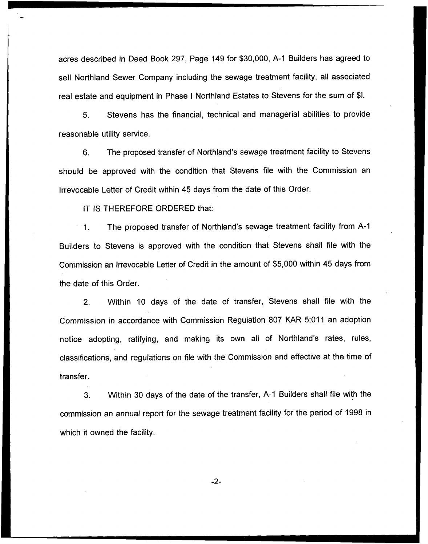acres described in Deed Book 297, Page 149 for \$30,000, A-1 Builders has agreed to sell Northland Sewer Company including the sewage treatment facility, all associated real estate and equipment in Phase <sup>I</sup> Northland Estates to Stevens for the sum of \$I.

5. Stevens has the financial, technical and managerial abilities to provide reasonable utility service.

6. The proposed transfer of Northland's sewage treatment facility to Stevens should be approved with the condition that Stevens file with the Commission an Irrevocable Letter of Credit within 45 days from the date of this Order.

IT IS THEREFORE ORDERED that:

The proposed transfer of Northland's sewage treatment facility from A-1  $\mathbf{1}$ . Builders to Stevens is approved with the condition that Stevens shall file with the Commission an Irrevocable Letter of Credit in the amount of \$5,000 within 45 days from the date of this Order.

2. Within 10 days of the date of transfer, Stevens shall file with the Commission in accordance with Commission Regulation 807 KAR 5:011 an adoption notice adopting, ratifying, and making its own all of Northland's rates, rules, classifications, and regulations on file with the Commission and effective at the time of transfer.

3. Within 30 days of the date of the transfer, A-1 Builders shall file with the commission an annual report for the sewage treatment facility for the period of 1998 in which it owned the facility.

-2-